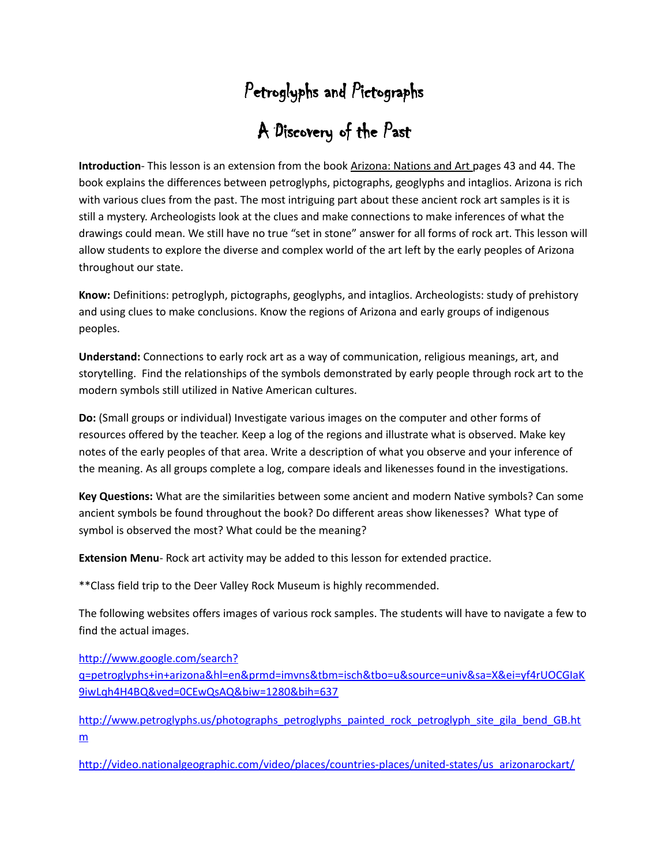### Petroglyphs and Pictographs

## A Discovery of the Past

**Introduction**- This lesson is an extension from the book Arizona: Nations and Art pages 43 and 44. The book explains the differences between petroglyphs, pictographs, geoglyphs and intaglios. Arizona is rich with various clues from the past. The most intriguing part about these ancient rock art samples is it is still a mystery. Archeologists look at the clues and make connections to make inferences of what the drawings could mean. We still have no true "set in stone" answer for all forms of rock art. This lesson will allow students to explore the diverse and complex world of the art left by the early peoples of Arizona throughout our state.

**Know:** Definitions: petroglyph, pictographs, geoglyphs, and intaglios. Archeologists: study of prehistory and using clues to make conclusions. Know the regions of Arizona and early groups of indigenous peoples.

**Understand:** Connections to early rock art as a way of communication, religious meanings, art, and storytelling. Find the relationships of the symbols demonstrated by early people through rock art to the modern symbols still utilized in Native American cultures.

**Do:** (Small groups or individual) Investigate various images on the computer and other forms of resources offered by the teacher. Keep a log of the regions and illustrate what is observed. Make key notes of the early peoples of that area. Write a description of what you observe and your inference of the meaning. As all groups complete a log, compare ideals and likenesses found in the investigations.

**Key Questions:** What are the similarities between some ancient and modern Native symbols? Can some ancient symbols be found throughout the book? Do different areas show likenesses? What type of symbol is observed the most? What could be the meaning?

**Extension Menu**- Rock art activity may be added to this lesson for extended practice.

\*\*Class field trip to the Deer Valley Rock Museum is highly recommended.

The following websites offers images of various rock samples. The students will have to navigate a few to find the actual images.

[http://www.google.com/search?](http://www.google.com/search?q=petroglyphs+in+arizona&hl=en&prmd=imvns&tbm=isch&tbo=u&source=univ&sa=X&ei=yf4rUOCGIaK9iwLqh4H4BQ&ved=0CEwQsAQ&biw=1280&bih=637) [q=petroglyphs+in+arizona&hl=en&prmd=imvns&tbm=isch&tbo=u&source=univ&sa=X&ei=yf4rUOCGIaK](http://www.google.com/search?q=petroglyphs+in+arizona&hl=en&prmd=imvns&tbm=isch&tbo=u&source=univ&sa=X&ei=yf4rUOCGIaK9iwLqh4H4BQ&ved=0CEwQsAQ&biw=1280&bih=637) [9iwLqh4H4BQ&ved=0CEwQsAQ&biw=1280&bih=637](http://www.google.com/search?q=petroglyphs+in+arizona&hl=en&prmd=imvns&tbm=isch&tbo=u&source=univ&sa=X&ei=yf4rUOCGIaK9iwLqh4H4BQ&ved=0CEwQsAQ&biw=1280&bih=637)

[http://www.petroglyphs.us/photographs\\_petroglyphs\\_painted\\_rock\\_petroglyph\\_site\\_gila\\_bend\\_GB.ht](http://www.petroglyphs.us/photographs_petroglyphs_painted_rock_petroglyph_site_gila_bend_GB.htm) [m](http://www.petroglyphs.us/photographs_petroglyphs_painted_rock_petroglyph_site_gila_bend_GB.htm)

[http://video.nationalgeographic.com/video/places/countries-places/united-states/us\\_arizonarockart/](http://video.nationalgeographic.com/video/places/countries-places/united-states/us_arizonarockart/)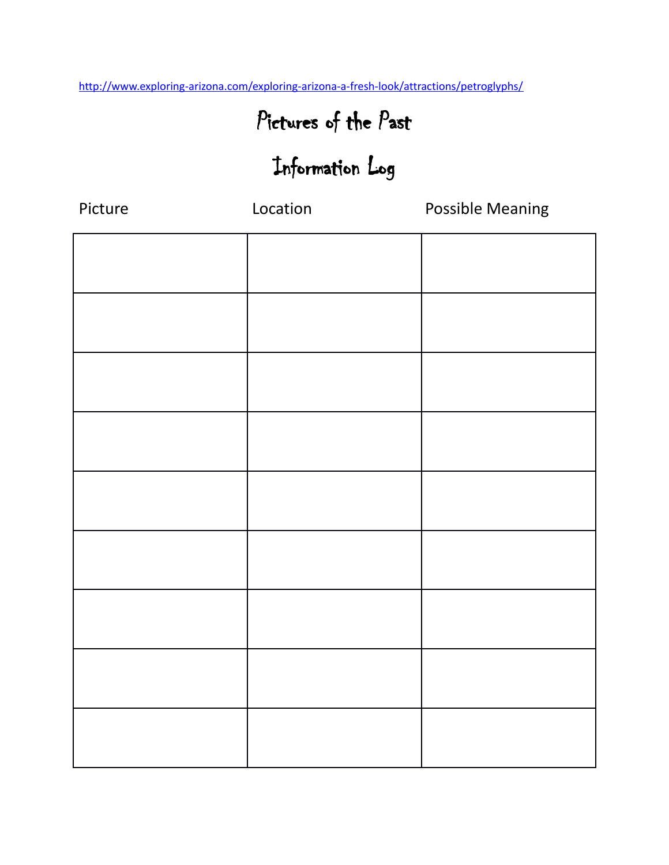<http://www.exploring-arizona.com/exploring-arizona-a-fresh-look/attractions/petroglyphs/>

## Pictures of the Past

# Information Log

| Picture | Location | <b>Possible Meaning</b> |
|---------|----------|-------------------------|
|         |          |                         |
|         |          |                         |
|         |          |                         |
|         |          |                         |
|         |          |                         |
|         |          |                         |
|         |          |                         |
|         |          |                         |
|         |          |                         |
|         |          |                         |